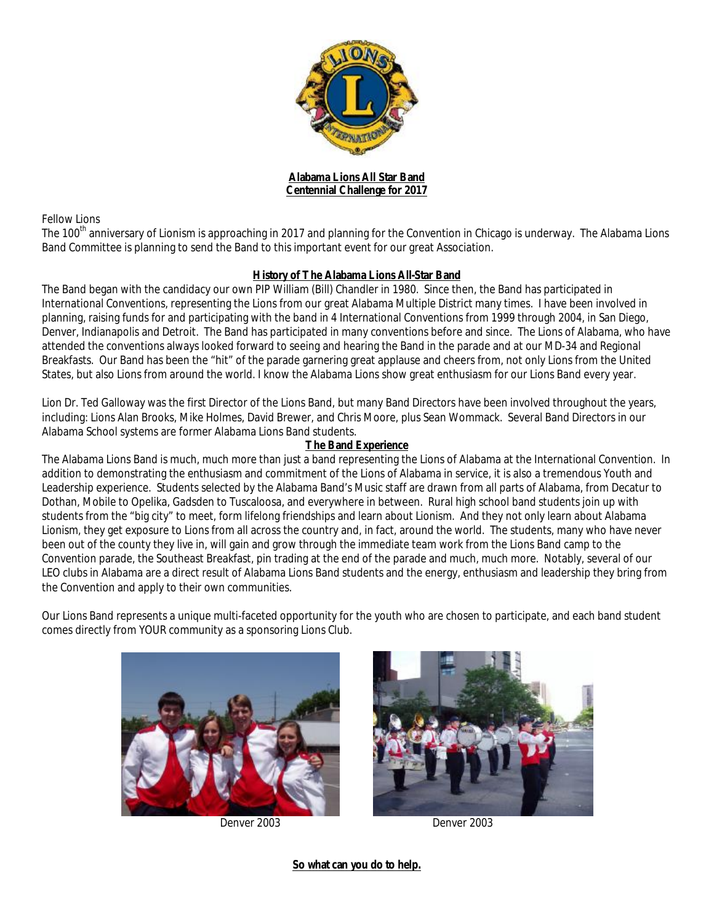

**Alabama Lions All Star Band Centennial Challenge for 2017** 

Fellow Lions

The 100<sup>th</sup> anniversary of Lionism is approaching in 2017 and planning for the Convention in Chicago is underway. The Alabama Lions Band Committee is planning to send the Band to this important event for our great Association.

### **History of The Alabama Lions All-Star Band**

The Band began with the candidacy our own PIP William (Bill) Chandler in 1980. Since then, the Band has participated in International Conventions, representing the Lions from our great Alabama Multiple District many times. I have been involved in planning, raising funds for and participating with the band in 4 International Conventions from 1999 through 2004, in San Diego, Denver, Indianapolis and Detroit. The Band has participated in many conventions before and since. The Lions of Alabama, who have attended the conventions always looked forward to seeing and hearing the Band in the parade and at our MD-34 and Regional Breakfasts. Our Band has been the "hit" of the parade garnering great applause and cheers from, not only Lions from the United States, but also Lions from around the world. I know the Alabama Lions show great enthusiasm for our Lions Band every year.

Lion Dr. Ted Galloway was the first Director of the Lions Band, but many Band Directors have been involved throughout the years, including: Lions Alan Brooks, Mike Holmes, David Brewer, and Chris Moore, plus Sean Wommack. Several Band Directors in our Alabama School systems are former Alabama Lions Band students.

### **The Band Experience**

The Alabama Lions Band is much, much more than just a band representing the Lions of Alabama at the International Convention. In addition to demonstrating the enthusiasm and commitment of the Lions of Alabama in service, it is also a tremendous Youth and Leadership experience. Students selected by the Alabama Band's Music staff are drawn from all parts of Alabama, from Decatur to Dothan, Mobile to Opelika, Gadsden to Tuscaloosa, and everywhere in between. Rural high school band students join up with students from the "big city" to meet, form lifelong friendships and learn about Lionism. And they not only learn about Alabama Lionism, they get exposure to Lions from all across the country and, in fact, around the world. The students, many who have never been out of the county they live in, will gain and grow through the immediate team work from the Lions Band camp to the Convention parade, the Southeast Breakfast, pin trading at the end of the parade and much, much more. Notably, several of our LEO clubs in Alabama are a direct result of Alabama Lions Band students and the energy, enthusiasm and leadership they bring from the Convention and apply to their own communities.

Our Lions Band represents a unique multi-faceted opportunity for the youth who are chosen to participate, and each band student comes directly from YOUR community as a sponsoring Lions Club.



Denver 2003 Denver 2003



**So what can you do to help.**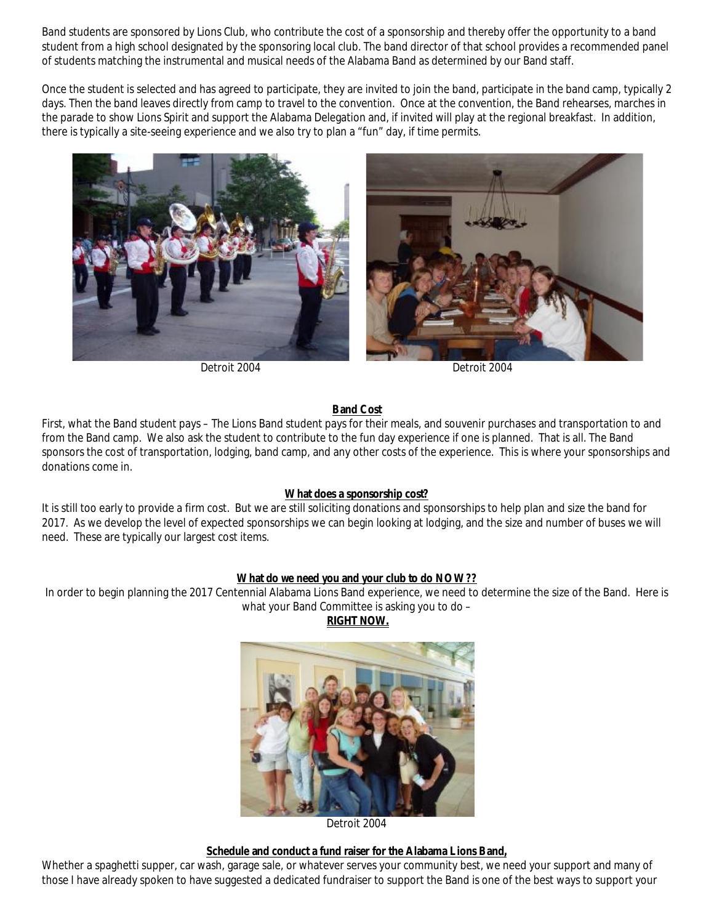Band students are sponsored by Lions Club, who contribute the cost of a sponsorship and thereby offer the opportunity to a band student from a high school designated by the sponsoring local club. The band director of that school provides a recommended panel of students matching the instrumental and musical needs of the Alabama Band as determined by our Band staff.

Once the student is selected and has agreed to participate, they are invited to join the band, participate in the band camp, typically 2 days. Then the band leaves directly from camp to travel to the convention. Once at the convention, the Band rehearses, marches in the parade to show Lions Spirit and support the Alabama Delegation and, if invited will play at the regional breakfast. In addition, there is typically a site-seeing experience and we also try to plan a "fun" day, if time permits.





Detroit 2004 Detroit 2004

# **Band Cost**

First, what the Band student pays – The Lions Band student pays for their meals, and souvenir purchases and transportation to and from the Band camp. We also ask the student to contribute to the fun day experience if one is planned. That is all. The Band sponsors the cost of transportation, lodging, band camp, and any other costs of the experience. This is where your sponsorships and donations come in.

# **What does a sponsorship cost?**

It is still too early to provide a firm cost. But we are still soliciting donations and sponsorships to help plan and size the band for 2017. As we develop the level of expected sponsorships we can begin looking at lodging, and the size and number of buses we will need. These are typically our largest cost items.

# **What do we need you and your club to do NOW??**

In order to begin planning the 2017 Centennial Alabama Lions Band experience, we need to determine the size of the Band. Here is what your Band Committee is asking you to do –

**RIGHT NOW.** 



Detroit 2004

**Schedule and conduct a fund raiser for the Alabama Lions Band,** 

Whether a spaghetti supper, car wash, garage sale, or whatever serves your community best, we need your support and many of those I have already spoken to have suggested a dedicated fundraiser to support the Band is one of the best ways to support your